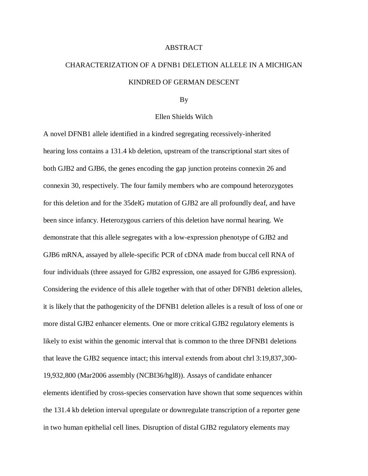## ABSTRACT

## CHARACTERIZATION OF A DFNB1 DELETION ALLELE IN A MICHIGAN KINDRED OF GERMAN DESCENT

## By

## Ellen Shields Wilch

A novel DFNB1 allele identified in a kindred segregating recessively-inherited hearing loss contains a 131.4 kb deletion, upstream of the transcriptional start sites of both GJB2 and GJB6, the genes encoding the gap junction proteins connexin 26 and connexin 30, respectively. The four family members who are compound heterozygotes for this deletion and for the 35delG mutation of GJB2 are all profoundly deaf, and have been since infancy. Heterozygous carriers of this deletion have normal hearing. We demonstrate that this allele segregates with a low-expression phenotype of GJB2 and GJB6 mRNA, assayed by allele-specific PCR of cDNA made from buccal cell RNA of four individuals (three assayed for GJB2 expression, one assayed for GJB6 expression). Considering the evidence of this allele together with that of other DFNB1 deletion alleles, it is likely that the pathogenicity of the DFNB1 deletion alleles is a result of loss of one or more distal GJB2 enhancer elements. One or more critical GJB2 regulatory elements is likely to exist within the genomic interval that is common to the three DFNB1 deletions that leave the GJB2 sequence intact; this interval extends from about chrl 3:19,837,300- 19,932,800 (Mar2006 assembly (NCBI36/hgl8)). Assays of candidate enhancer elements identified by cross-species conservation have shown that some sequences within the 131.4 kb deletion interval upregulate or downregulate transcription of a reporter gene in two human epithelial cell lines. Disruption of distal GJB2 regulatory elements may